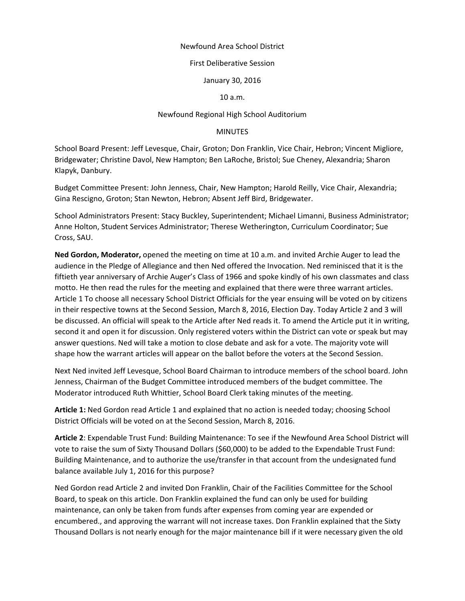## Newfound Area School District

## First Deliberative Session

January 30, 2016

10 a.m.

## Newfound Regional High School Auditorium

## MINUTES

School Board Present: Jeff Levesque, Chair, Groton; Don Franklin, Vice Chair, Hebron; Vincent Migliore, Bridgewater; Christine Davol, New Hampton; Ben LaRoche, Bristol; Sue Cheney, Alexandria; Sharon Klapyk, Danbury.

Budget Committee Present: John Jenness, Chair, New Hampton; Harold Reilly, Vice Chair, Alexandria; Gina Rescigno, Groton; Stan Newton, Hebron; Absent Jeff Bird, Bridgewater.

School Administrators Present: Stacy Buckley, Superintendent; Michael Limanni, Business Administrator; Anne Holton, Student Services Administrator; Therese Wetherington, Curriculum Coordinator; Sue Cross, SAU.

**Ned Gordon, Moderator,** opened the meeting on time at 10 a.m. and invited Archie Auger to lead the audience in the Pledge of Allegiance and then Ned offered the Invocation. Ned reminisced that it is the fiftieth year anniversary of Archie Auger's Class of 1966 and spoke kindly of his own classmates and class motto. He then read the rules for the meeting and explained that there were three warrant articles. Article 1 To choose all necessary School District Officials for the year ensuing will be voted on by citizens in their respective towns at the Second Session, March 8, 2016, Election Day. Today Article 2 and 3 will be discussed. An official will speak to the Article after Ned reads it. To amend the Article put it in writing, second it and open it for discussion. Only registered voters within the District can vote or speak but may answer questions. Ned will take a motion to close debate and ask for a vote. The majority vote will shape how the warrant articles will appear on the ballot before the voters at the Second Session.

Next Ned invited Jeff Levesque, School Board Chairman to introduce members of the school board. John Jenness, Chairman of the Budget Committee introduced members of the budget committee. The Moderator introduced Ruth Whittier, School Board Clerk taking minutes of the meeting.

**Article 1:** Ned Gordon read Article 1 and explained that no action is needed today; choosing School District Officials will be voted on at the Second Session, March 8, 2016.

**Article 2**: Expendable Trust Fund: Building Maintenance: To see if the Newfound Area School District will vote to raise the sum of Sixty Thousand Dollars (\$60,000) to be added to the Expendable Trust Fund: Building Maintenance, and to authorize the use/transfer in that account from the undesignated fund balance available July 1, 2016 for this purpose?

Ned Gordon read Article 2 and invited Don Franklin, Chair of the Facilities Committee for the School Board, to speak on this article. Don Franklin explained the fund can only be used for building maintenance, can only be taken from funds after expenses from coming year are expended or encumbered., and approving the warrant will not increase taxes. Don Franklin explained that the Sixty Thousand Dollars is not nearly enough for the major maintenance bill if it were necessary given the old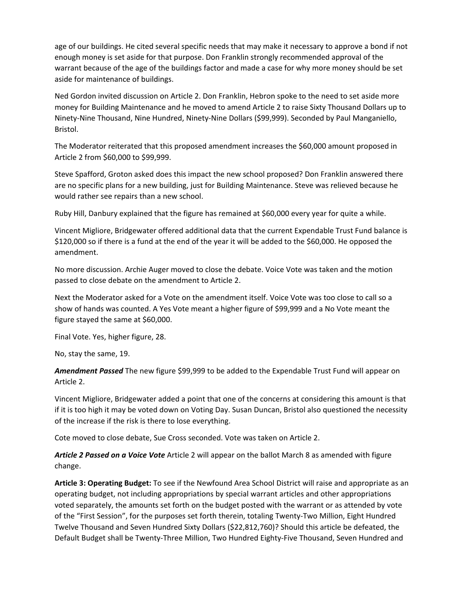age of our buildings. He cited several specific needs that may make it necessary to approve a bond if not enough money is set aside for that purpose. Don Franklin strongly recommended approval of the warrant because of the age of the buildings factor and made a case for why more money should be set aside for maintenance of buildings.

Ned Gordon invited discussion on Article 2. Don Franklin, Hebron spoke to the need to set aside more money for Building Maintenance and he moved to amend Article 2 to raise Sixty Thousand Dollars up to Ninety‐Nine Thousand, Nine Hundred, Ninety‐Nine Dollars (\$99,999). Seconded by Paul Manganiello, Bristol.

The Moderator reiterated that this proposed amendment increases the \$60,000 amount proposed in Article 2 from \$60,000 to \$99,999.

Steve Spafford, Groton asked does this impact the new school proposed? Don Franklin answered there are no specific plans for a new building, just for Building Maintenance. Steve was relieved because he would rather see repairs than a new school.

Ruby Hill, Danbury explained that the figure has remained at \$60,000 every year for quite a while.

Vincent Migliore, Bridgewater offered additional data that the current Expendable Trust Fund balance is \$120,000 so if there is a fund at the end of the year it will be added to the \$60,000. He opposed the amendment.

No more discussion. Archie Auger moved to close the debate. Voice Vote was taken and the motion passed to close debate on the amendment to Article 2.

Next the Moderator asked for a Vote on the amendment itself. Voice Vote was too close to call so a show of hands was counted. A Yes Vote meant a higher figure of \$99,999 and a No Vote meant the figure stayed the same at \$60,000.

Final Vote. Yes, higher figure, 28.

No, stay the same, 19.

*Amendment Passed* The new figure \$99,999 to be added to the Expendable Trust Fund will appear on Article 2.

Vincent Migliore, Bridgewater added a point that one of the concerns at considering this amount is that if it is too high it may be voted down on Voting Day. Susan Duncan, Bristol also questioned the necessity of the increase if the risk is there to lose everything.

Cote moved to close debate, Sue Cross seconded. Vote was taken on Article 2.

*Article 2 Passed on a Voice Vote* Article 2 will appear on the ballot March 8 as amended with figure change.

**Article 3: Operating Budget:** To see if the Newfound Area School District will raise and appropriate as an operating budget, not including appropriations by special warrant articles and other appropriations voted separately, the amounts set forth on the budget posted with the warrant or as attended by vote of the "First Session", for the purposes set forth therein, totaling Twenty‐Two Million, Eight Hundred Twelve Thousand and Seven Hundred Sixty Dollars (\$22,812,760)? Should this article be defeated, the Default Budget shall be Twenty‐Three Million, Two Hundred Eighty‐Five Thousand, Seven Hundred and